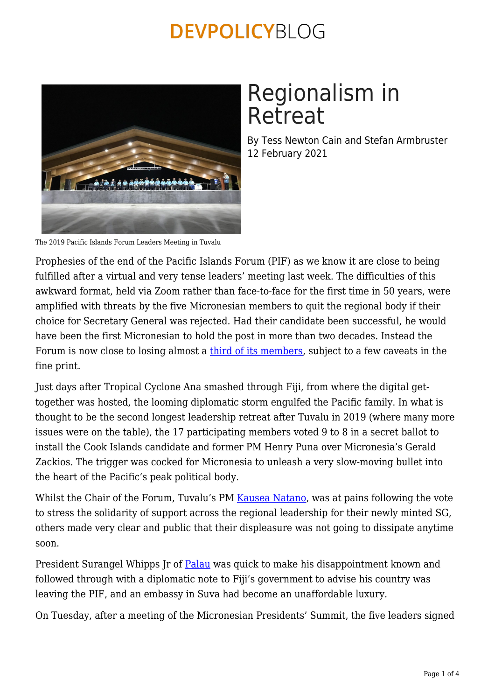

# Regionalism in Retreat

By Tess Newton Cain and Stefan Armbruster 12 February 2021

The 2019 Pacific Islands Forum Leaders Meeting in Tuvalu

Prophesies of the end of the Pacific Islands Forum (PIF) as we know it are close to being fulfilled after a virtual and very tense leaders' meeting last week. The difficulties of this awkward format, held via Zoom rather than face-to-face for the first time in 50 years, were amplified with threats by the five Micronesian members to quit the regional body if their choice for Secretary General was rejected. Had their candidate been successful, he would have been the first Micronesian to hold the post in more than two decades. Instead the Forum is now close to losing almost a [third of its members](https://www.theguardian.com/world/2021/feb/09/pacific-islands-forum-in-crisis-as-one-third-of-member-nations-quit), subject to a few caveats in the fine print.

Just days after Tropical Cyclone Ana smashed through Fiji, from where the digital gettogether was hosted, the looming diplomatic storm engulfed the Pacific family. In what is thought to be the second longest leadership retreat after Tuvalu in 2019 (where many more issues were on the table), the 17 participating members voted 9 to 8 in a secret ballot to install the Cook Islands candidate and former PM Henry Puna over Micronesia's Gerald Zackios. The trigger was cocked for Micronesia to unleash a very slow-moving bullet into the heart of the Pacific's peak political body.

Whilst the Chair of the Forum, Tuvalu's PM [Kausea Natano](https://www.forumsec.org/2021/02/06/forum-chairs-statement-on-the-selection-of-the-pacific-islands-forum-sg/), was at pains following the vote to stress the solidarity of support across the regional leadership for their newly minted SG, others made very clear and public that their displeasure was not going to dissipate anytime soon.

President Surangel Whipps Jr of [Palau](https://www.theguardian.com/world/2021/feb/05/future-of-pacific-islands-forum-in-doubt-as-north-south-rift-emerges) was quick to make his disappointment known and followed through with a diplomatic note to Fiji's government to advise his country was leaving the PIF, and an embassy in Suva had become an unaffordable luxury.

On Tuesday, after a meeting of the Micronesian Presidents' Summit, the five leaders signed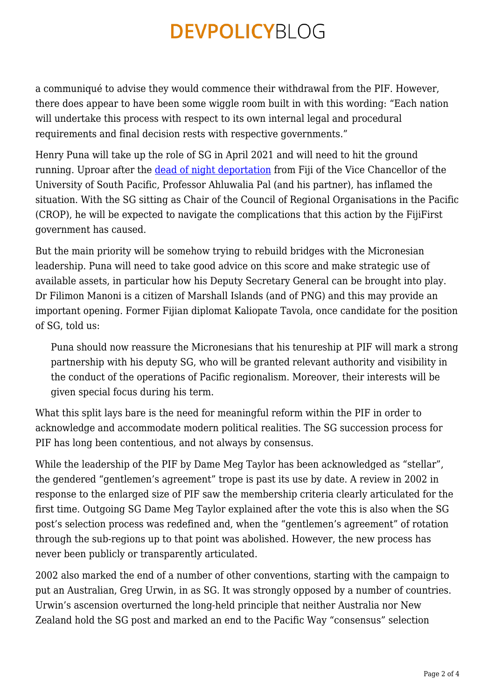a communiqué to advise they would commence their withdrawal from the PIF. However, there does appear to have been some wiggle room built in with this wording: "Each nation will undertake this process with respect to its own internal legal and procedural requirements and final decision rests with respective governments."

Henry Puna will take up the role of SG in April 2021 and will need to hit the ground running. Uproar after the [dead of night deportation](https://www.theguardian.com/world/2021/feb/05/whistleblower-vice-chancellor-deported-after-midnight-raid-by-fiji-police) from Fiji of the Vice Chancellor of the University of South Pacific, Professor Ahluwalia Pal (and his partner), has inflamed the situation. With the SG sitting as Chair of the Council of Regional Organisations in the Pacific (CROP), he will be expected to navigate the complications that this action by the FijiFirst government has caused.

But the main priority will be somehow trying to rebuild bridges with the Micronesian leadership. Puna will need to take good advice on this score and make strategic use of available assets, in particular how his Deputy Secretary General can be brought into play. Dr Filimon Manoni is a citizen of Marshall Islands (and of PNG) and this may provide an important opening. Former Fijian diplomat Kaliopate Tavola, once candidate for the position of SG, told us:

Puna should now reassure the Micronesians that his tenureship at PIF will mark a strong partnership with his deputy SG, who will be granted relevant authority and visibility in the conduct of the operations of Pacific regionalism. Moreover, their interests will be given special focus during his term.

What this split lays bare is the need for meaningful reform within the PIF in order to acknowledge and accommodate modern political realities. The SG succession process for PIF has long been contentious, and not always by consensus.

While the leadership of the PIF by Dame Meg Taylor has been acknowledged as "stellar", the gendered "gentlemen's agreement" trope is past its use by date. A review in 2002 in response to the enlarged size of PIF saw the membership criteria clearly articulated for the first time. Outgoing SG Dame Meg Taylor explained after the vote this is also when the SG post's selection process was redefined and, when the "gentlemen's agreement" of rotation through the sub-regions up to that point was abolished. However, the new process has never been publicly or transparently articulated.

2002 also marked the end of a number of other conventions, starting with the campaign to put an Australian, Greg Urwin, in as SG. It was strongly opposed by a number of countries. Urwin's ascension overturned the long-held principle that neither Australia nor New Zealand hold the SG post and marked an end to the Pacific Way "consensus" selection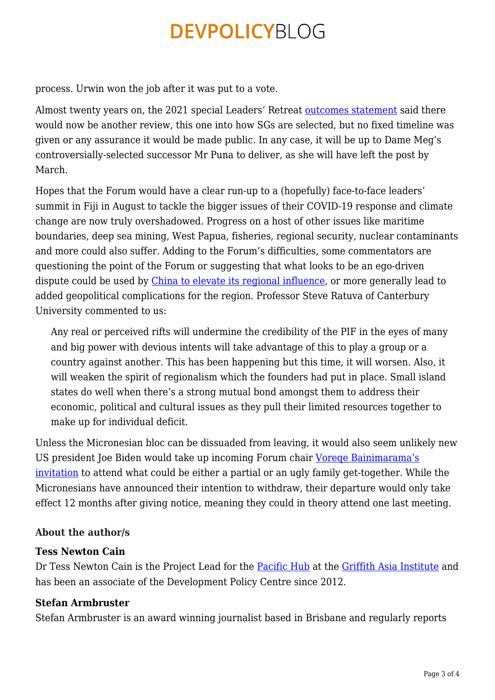process. Urwin won the job after it was put to a vote.

Almost twenty years on, the 2021 special Leaders' Retreat [outcomes statement](https://www.forumsec.org/wp-content/uploads/2021/02/2021-Special-Leaders-Retreat-Decisions.pdf) said there would now be another review, this one into how SGs are selected, but no fixed timeline was given or any assurance it would be made public. In any case, it will be up to Dame Meg's controversially-selected successor Mr Puna to deliver, as she will have left the post by March.

Hopes that the Forum would have a clear run-up to a (hopefully) face-to-face leaders' summit in Fiji in August to tackle the bigger issues of their COVID-19 response and climate change are now truly overshadowed. Progress on a host of other issues like maritime boundaries, deep sea mining, West Papua, fisheries, regional security, nuclear contaminants and more could also suffer. Adding to the Forum's difficulties, some commentators are questioning the point of the Forum or suggesting that what looks to be an ego-driven dispute could be used by [China to elevate its regional influence,](https://www.theaustralian.com.au/nation/china-gets-its-chance-as-pacific-island-forum-fractures-amid-micronesian-exits/news-story/375a0897a530c615b0b91b750c47eba7) or more generally lead to added geopolitical complications for the region. Professor Steve Ratuva of Canterbury University commented to us:

Any real or perceived rifts will undermine the credibility of the PIF in the eyes of many and big power with devious intents will take advantage of this to play a group or a country against another. This has been happening but this time, it will worsen. Also, it will weaken the spirit of regionalism which the founders had put in place. Small island states do well when there's a strong mutual bond amongst them to address their economic, political and cultural issues as they pull their limited resources together to make up for individual deficit.

Unless the Micronesian bloc can be dissuaded from leaving, it would also seem unlikely new US president Joe Biden would take up incoming Forum chair [Voreqe Bainimarama's](https://www.fijivillage.com/news/Bainimarama-invites-Biden-to-attend-Pacific-Islands-Forum-meet-in-Fiji-x58rf4/) [invitation](https://www.fijivillage.com/news/Bainimarama-invites-Biden-to-attend-Pacific-Islands-Forum-meet-in-Fiji-x58rf4/) to attend what could be either a partial or an ugly family get-together. While the Micronesians have announced their intention to withdraw, their departure would only take effect 12 months after giving notice, meaning they could in theory attend one last meeting.

#### **About the author/s**

#### **Tess Newton Cain**

Dr Tess Newton Cain is the Project Lead for the [Pacific Hub](https://www.griffith.edu.au/asia-institute/pacific-hub) at the [Griffith Asia Institute](https://www.griffith.edu.au/asia-institute) and has been an associate of the Development Policy Centre since 2012.

#### **Stefan Armbruster**

Stefan Armbruster is an award winning journalist based in Brisbane and regularly reports